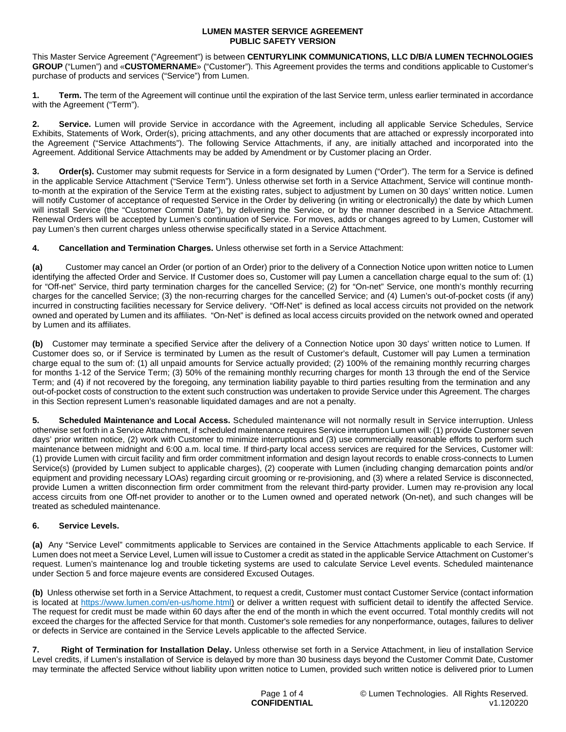. . This Master Service Agreement ("Agreement") is between **CENTURYLINK COMMUNICATIONS, LLC D/B/A LUMEN TECHNOLOGIES GROUP** ("Lumen") and «**CUSTOMERNAME**» ("Customer"). This Agreement provides the terms and conditions applicable to Customer's purchase of products and services ("Service") from Lumen.

**1. Term.** The term of the Agreement will continue until the expiration of the last Service term, unless earlier terminated in accordance with the Agreement ("Term").

**2. Service.** Lumen will provide Service in accordance with the Agreement, including all applicable Service Schedules, Service Exhibits, Statements of Work, Order(s), pricing attachments, and any other documents that are attached or expressly incorporated into the Agreement ("Service Attachments"). The following Service Attachments, if any, are initially attached and incorporated into the Agreement. Additional Service Attachments may be added by Amendment or by Customer placing an Order.

**3. Order(s).** Customer may submit requests for Service in a form designated by Lumen ("Order"). The term for a Service is defined in the applicable Service Attachment ("Service Term"). Unless otherwise set forth in a Service Attachment, Service will continue monthto-month at the expiration of the Service Term at the existing rates, subject to adjustment by Lumen on 30 days' written notice. Lumen will notify Customer of acceptance of requested Service in the Order by delivering (in writing or electronically) the date by which Lumen will install Service (the "Customer Commit Date"), by delivering the Service, or by the manner described in a Service Attachment. Renewal Orders will be accepted by Lumen's continuation of Service. For moves, adds or changes agreed to by Lumen, Customer will pay Lumen's then current charges unless otherwise specifically stated in a Service Attachment.

**4. Cancellation and Termination Charges.** Unless otherwise set forth in a Service Attachment:

**(a)** Customer may cancel an Order (or portion of an Order) prior to the delivery of a Connection Notice upon written notice to Lumen identifying the affected Order and Service. If Customer does so, Customer will pay Lumen a cancellation charge equal to the sum of: (1) for "Off-net" Service, third party termination charges for the cancelled Service; (2) for "On-net" Service, one month's monthly recurring charges for the cancelled Service; (3) the non-recurring charges for the cancelled Service; and (4) Lumen's out-of-pocket costs (if any) incurred in constructing facilities necessary for Service delivery. "Off-Net" is defined as local access circuits not provided on the network owned and operated by Lumen and its affiliates. "On-Net" is defined as local access circuits provided on the network owned and operated by Lumen and its affiliates.

**(b)** Customer may terminate a specified Service after the delivery of a Connection Notice upon 30 days' written notice to Lumen. If Customer does so, or if Service is terminated by Lumen as the result of Customer's default, Customer will pay Lumen a termination charge equal to the sum of: (1) all unpaid amounts for Service actually provided; (2) 100% of the remaining monthly recurring charges for months 1-12 of the Service Term; (3) 50% of the remaining monthly recurring charges for month 13 through the end of the Service Term; and (4) if not recovered by the foregoing, any termination liability payable to third parties resulting from the termination and any out-of-pocket costs of construction to the extent such construction was undertaken to provide Service under this Agreement. The charges in this Section represent Lumen's reasonable liquidated damages and are not a penalty.

**5. Scheduled Maintenance and Local Access.** Scheduled maintenance will not normally result in Service interruption. Unless otherwise set forth in a Service Attachment, if scheduled maintenance requires Service interruption Lumen will: (1) provide Customer seven days' prior written notice, (2) work with Customer to minimize interruptions and (3) use commercially reasonable efforts to perform such maintenance between midnight and 6:00 a.m. local time. If third-party local access services are required for the Services, Customer will: (1) provide Lumen with circuit facility and firm order commitment information and design layout records to enable cross-connects to Lumen Service(s) (provided by Lumen subject to applicable charges), (2) cooperate with Lumen (including changing demarcation points and/or equipment and providing necessary LOAs) regarding circuit grooming or re-provisioning, and (3) where a related Service is disconnected, provide Lumen a written disconnection firm order commitment from the relevant third-party provider. Lumen may re-provision any local access circuits from one Off-net provider to another or to the Lumen owned and operated network (On-net), and such changes will be treated as scheduled maintenance.

# **6. Service Levels.**

**(a)** Any "Service Level" commitments applicable to Services are contained in the Service Attachments applicable to each Service. If Lumen does not meet a Service Level, Lumen will issue to Customer a credit as stated in the applicable Service Attachment on Customer's request. Lumen's maintenance log and trouble ticketing systems are used to calculate Service Level events. Scheduled maintenance under Section 5 and force majeure events are considered Excused Outages.

**(b)** Unless otherwise set forth in a Service Attachment, to request a credit, Customer must contact Customer Service (contact information is located at <https://www.lumen.com/en-us/home.html>) or deliver a written request with sufficient detail to identify the affected Service. The request for credit must be made within 60 days after the end of the month in which the event occurred. Total monthly credits will not exceed the charges for the affected Service for that month. Customer's sole remedies for any nonperformance, outages, failures to deliver or defects in Service are contained in the Service Levels applicable to the affected Service.

**7. Right of Termination for Installation Delay.** Unless otherwise set forth in a Service Attachment, in lieu of installation Service Level credits, if Lumen's installation of Service is delayed by more than 30 business days beyond the Customer Commit Date, Customer may terminate the affected Service without liability upon written notice to Lumen, provided such written notice is delivered prior to Lumen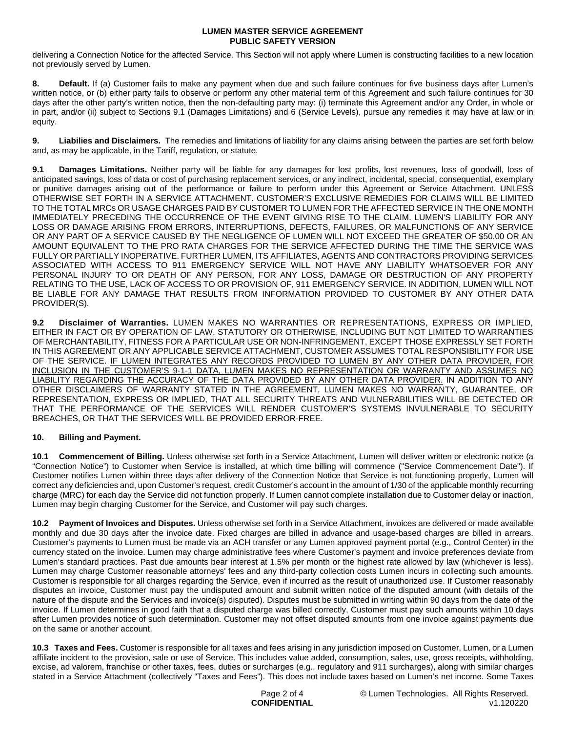delivering a Connection Notice for the affected Service. This Section will not apply where Lumen is constructing facilities to a new location not previously served by Lumen.

**8. Default.** If (a) Customer fails to make any payment when due and such failure continues for five business days after Lumen's written notice, or (b) either party fails to observe or perform any other material term of this Agreement and such failure continues for 30 days after the other party's written notice, then the non-defaulting party may: (i) terminate this Agreement and/or any Order, in whole or in part, and/or (ii) subject to Sections 9.1 (Damages Limitations) and 6 (Service Levels), pursue any remedies it may have at law or in equity.

**9. Liabilies and Disclaimers.** The remedies and limitations of liability for any claims arising between the parties are set forth below and, as may be applicable, in the Tariff, regulation, or statute.

**9.1** Damages Limitations. Neither party will be liable for any damages for lost profits, lost revenues, loss of goodwill, loss of anticipated savings, loss of data or cost of purchasing replacement services, or any indirect, incidental, special, consequential, exemplary or punitive damages arising out of the performance or failure to perform under this Agreement or Service Attachment. UNLESS OTHERWISE SET FORTH IN A SERVICE ATTACHMENT. CUSTOMER'S EXCLUSIVE REMEDIES FOR CLAIMS WILL BE LIMITED TO THE TOTAL MRCS OR USAGE CHARGES PAID BY CUSTOMER TO LUMEN FOR THE AFFECTED SERVICE IN THE ONE MONTH IMMEDIATELY PRECEDING THE OCCURRENCE OF THE EVENT GIVING RISE TO THE CLAIM. LUMEN'S LIABILITY FOR ANY LOSS OR DAMAGE ARISING FROM ERRORS, INTERRUPTIONS, DEFECTS, FAILURES, OR MALFUNCTIONS OF ANY SERVICE OR ANY PART OF A SERVICE CAUSED BY THE NEGLIGENCE OF LUMEN WILL NOT EXCEED THE GREATER OF \$50.00 OR AN AMOUNT EQUIVALENT TO THE PRO RATA CHARGES FOR THE SERVICE AFFECTED DURING THE TIME THE SERVICE WAS FULLY OR PARTIALLY INOPERATIVE. FURTHER LUMEN, ITS AFFILIATES, AGENTS AND CONTRACTORS PROVIDING SERVICES ASSOCIATED WITH ACCESS TO 911 EMERGENCY SERVICE WILL NOT HAVE ANY LIABILITY WHATSOEVER FOR ANY PERSONAL INJURY TO OR DEATH OF ANY PERSON, FOR ANY LOSS, DAMAGE OR DESTRUCTION OF ANY PROPERTY RELATING TO THE USE, LACK OF ACCESS TO OR PROVISION OF, 911 EMERGENCY SERVICE. IN ADDITION, LUMEN WILL NOT BE LIABLE FOR ANY DAMAGE THAT RESULTS FROM INFORMATION PROVIDED TO CUSTOMER BY ANY OTHER DATA PROVIDER(S).

**9.2 Disclaimer of Warranties.** LUMEN MAKES NO WARRANTIES OR REPRESENTATIONS, EXPRESS OR IMPLIED, EITHER IN FACT OR BY OPERATION OF LAW, STATUTORY OR OTHERWISE, INCLUDING BUT NOT LIMITED TO WARRANTIES OF MERCHANTABILITY, FITNESS FOR A PARTICULAR USE OR NON-INFRINGEMENT, EXCEPT THOSE EXPRESSLY SET FORTH IN THIS AGREEMENT OR ANY APPLICABLE SERVICE ATTACHMENT, CUSTOMER ASSUMES TOTAL RESPONSIBILITY FOR USE OF THE SERVICE. IF LUMEN INTEGRATES ANY RECORDS PROVIDED TO LUMEN BY ANY OTHER DATA PROVIDER, FOR INCLUSION IN THE CUSTOMER'S 9-1-1 DATA, LUMEN MAKES NO REPRESENTATION OR WARRANTY AND ASSUMES NO LIABILITY REGARDING THE ACCURACY OF THE DATA PROVIDED BY ANY OTHER DATA PROVIDER. IN ADDITION TO ANY OTHER DISCLAIMERS OF WARRANTY STATED IN THE AGREEMENT, LUMEN MAKES NO WARRANTY, GUARANTEE, OR REPRESENTATION, EXPRESS OR IMPLIED, THAT ALL SECURITY THREATS AND VULNERABILITIES WILL BE DETECTED OR THAT THE PERFORMANCE OF THE SERVICES WILL RENDER CUSTOMER'S SYSTEMS INVULNERABLE TO SECURITY BREACHES, OR THAT THE SERVICES WILL BE PROVIDED ERROR-FREE.

## **10. Billing and Payment.**

**10.1 Commencement of Billing.** Unless otherwise set forth in a Service Attachment, Lumen will deliver written or electronic notice (a "Connection Notice") to Customer when Service is installed, at which time billing will commence ("Service Commencement Date"). If Customer notifies Lumen within three days after delivery of the Connection Notice that Service is not functioning properly, Lumen will correct any deficiencies and, upon Customer's request, credit Customer's account in the amount of 1/30 of the applicable monthly recurring charge (MRC) for each day the Service did not function properly. If Lumen cannot complete installation due to Customer delay or inaction, Lumen may begin charging Customer for the Service, and Customer will pay such charges.

**10.2 Payment of Invoices and Disputes.** Unless otherwise set forth in a Service Attachment, invoices are delivered or made available monthly and due 30 days after the invoice date. Fixed charges are billed in advance and usage-based charges are billed in arrears. Customer's payments to Lumen must be made via an ACH transfer or any Lumen approved payment portal (e.g., Control Center) in the currency stated on the invoice. Lumen may charge administrative fees where Customer's payment and invoice preferences deviate from Lumen's standard practices. Past due amounts bear interest at 1.5% per month or the highest rate allowed by law (whichever is less). Lumen may charge Customer reasonable attorneys' fees and any third-party collection costs Lumen incurs in collecting such amounts. Customer is responsible for all charges regarding the Service, even if incurred as the result of unauthorized use. If Customer reasonably disputes an invoice, Customer must pay the undisputed amount and submit written notice of the disputed amount (with details of the nature of the dispute and the Services and invoice(s) disputed). Disputes must be submitted in writing within 90 days from the date of the invoice. If Lumen determines in good faith that a disputed charge was billed correctly, Customer must pay such amounts within 10 days after Lumen provides notice of such determination. Customer may not offset disputed amounts from one invoice against payments due on the same or another account.

**10.3 Taxes and Fees.** Customer is responsible for all taxes and fees arising in any jurisdiction imposed on Customer, Lumen, or a Lumen affiliate incident to the provision, sale or use of Service. This includes value added, consumption, sales, use, gross receipts, withholding, excise, ad valorem, franchise or other taxes, fees, duties or surcharges (e.g., regulatory and 911 surcharges), along with similar charges stated in a Service Attachment (collectively "Taxes and Fees"). This does not include taxes based on Lumen's net income. Some Taxes

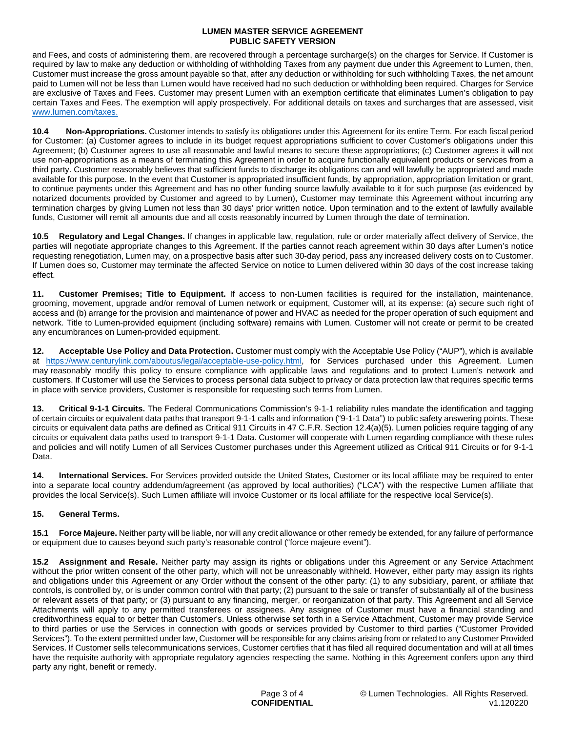and Fees, and costs of administering them, are recovered through a percentage surcharge(s) on the charges for Service. If Customer is required by law to make any deduction or withholding of withholding Taxes from any payment due under this Agreement to Lumen, then, Customer must increase the gross amount payable so that, after any deduction or withholding for such withholding Taxes, the net amount paid to Lumen will not be less than Lumen would have received had no such deduction or withholding been required. Charges for Service are exclusive of Taxes and Fees. Customer may present Lumen with an exemption certificate that eliminates Lumen's obligation to pay certain Taxes and Fees. The exemption will apply prospectively. For additional details on taxes and surcharges that are assessed, visit [www.lumen.com/taxes](http://www.lumen.com/taxes).

**10.4 Non-Appropriations.** Customer intends to satisfy its obligations under this Agreement for its entire Term. For each fiscal period for Customer: (a) Customer agrees to include in its budget request appropriations sufficient to cover Customer's obligations under this Agreement; (b) Customer agrees to use all reasonable and lawful means to secure these appropriations; (c) Customer agrees it will not use non-appropriations as a means of terminating this Agreement in order to acquire functionally equivalent products or services from a third party. Customer reasonably believes that sufficient funds to discharge its obligations can and will lawfully be appropriated and made available for this purpose. In the event that Customer is appropriated insufficient funds, by appropriation, appropriation limitation or grant, to continue payments under this Agreement and has no other funding source lawfully available to it for such purpose (as evidenced by notarized documents provided by Customer and agreed to by Lumen), Customer may terminate this Agreement without incurring any termination charges by giving Lumen not less than 30 days' prior written notice. Upon termination and to the extent of lawfully available funds, Customer will remit all amounts due and all costs reasonably incurred by Lumen through the date of termination.

**10.5 Regulatory and Legal Changes.** If changes in applicable law, regulation, rule or order materially affect delivery of Service, the parties will negotiate appropriate changes to this Agreement. If the parties cannot reach agreement within 30 days after Lumen's notice requesting renegotiation, Lumen may, on a prospective basis after such 30-day period, pass any increased delivery costs on to Customer. If Lumen does so, Customer may terminate the affected Service on notice to Lumen delivered within 30 days of the cost increase taking effect.

**11. Customer Premises; Title to Equipment.** If access to non-Lumen facilities is required for the installation, maintenance, grooming, movement, upgrade and/or removal of Lumen network or equipment, Customer will, at its expense: (a) secure such right of access and (b) arrange for the provision and maintenance of power and HVAC as needed for the proper operation of such equipment and network. Title to Lumen-provided equipment (including software) remains with Lumen. Customer will not create or permit to be created any encumbrances on Lumen-provided equipment.

**12. Acceptable Use Policy and Data Protection.** Customer must comply with the Acceptable Use Policy ("AUP"), which is available at https://www.centurylink.com/aboutus/legal/acceptable-use-policy.html, for Services purchased under this Agreement. Lumen may reasonably modify this policy to ensure compliance with applicable laws and regulations and to protect Lumen's network and customers. If Customer will use the Services to process personal data subject to privacy or data protection law that requires specific terms in place with service providers, Customer is responsible for requesting such terms from Lumen.

**13. Critical 9-1-1 Circuits.** The Federal Communications Commission's 9-1-1 reliability rules mandate the identification and tagging of certain circuits or equivalent data paths that transport 9-1-1 calls and information ("9-1-1 Data") to public safety answering points. These circuits or equivalent data paths are defined as Critical 911 Circuits in 47 C.F.R. Section 12.4(a)(5). Lumen policies require tagging of any circuits or equivalent data paths used to transport 9-1-1 Data. Customer will cooperate with Lumen regarding compliance with these rules and policies and will notify Lumen of all Services Customer purchases under this Agreement utilized as Critical 911 Circuits or for 9-1-1 Data.

**14. International Services.** For Services provided outside the United States, Customer or its local affiliate may be required to enter into a separate local country addendum/agreement (as approved by local authorities) ("LCA") with the respective Lumen affiliate that provides the local Service(s). Such Lumen affiliate will invoice Customer or its local affiliate for the respective local Service(s).

# **15. General Terms.**

**15.1 Force Majeure.** Neither party will be liable, nor will any credit allowance or other remedy be extended, for any failure of performance or equipment due to causes beyond such party's reasonable control ("force majeure event").

**15.2 Assignment and Resale.** Neither party may assign its rights or obligations under this Agreement or any Service Attachment without the prior written consent of the other party, which will not be unreasonably withheld. However, either party may assign its rights and obligations under this Agreement or any Order without the consent of the other party: (1) to any subsidiary, parent, or affiliate that controls, is controlled by, or is under common control with that party; (2) pursuant to the sale or transfer of substantially all of the business or relevant assets of that party; or (3) pursuant to any financing, merger, or reorganization of that party. This Agreement and all Service Attachments will apply to any permitted transferees or assignees. Any assignee of Customer must have a financial standing and creditworthiness equal to or better than Customer's. Unless otherwise set forth in a Service Attachment, Customer may provide Service to third parties or use the Services in connection with goods or services provided by Customer to third parties ("Customer Provided Services"). To the extent permitted under law, Customer will be responsible for any claims arising from or related to any Customer Provided Services. If Customer sells telecommunications services, Customer certifies that it has filed all required documentation and will at all times have the requisite authority with appropriate regulatory agencies respecting the same. Nothing in this Agreement confers upon any third party any right, benefit or remedy.